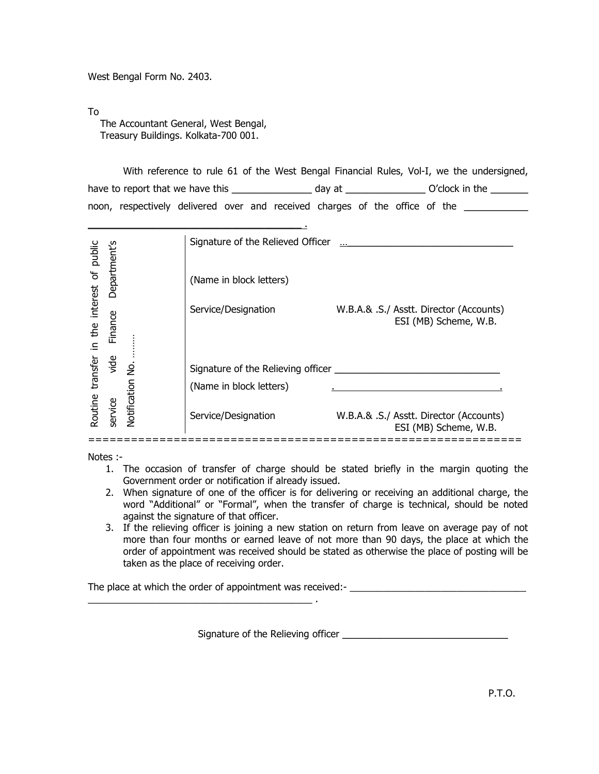West Bengal Form No. 2403.

To

 The Accountant General, West Bengal, Treasury Buildings. Kolkata-700 001.

 With reference to rule 61 of the West Bengal Financial Rules, Vol-I, we the undersigned, have to report that we have this \_\_\_\_\_\_\_\_\_\_\_\_\_\_\_\_\_\_\_ day at \_\_\_\_\_\_\_\_\_\_\_\_\_\_\_\_\_\_ O'clock in the \_\_\_\_\_\_\_\_\_ noon, respectively delivered over and received charges of the office of the

|                              |              |              | Signature of the Relieved Officer                             |                                                                  |
|------------------------------|--------------|--------------|---------------------------------------------------------------|------------------------------------------------------------------|
|                              | Department's |              | (Name in block letters)                                       |                                                                  |
| the interest of public<br>크. | Finance      |              | Service/Designation                                           | W.B.A.& .S./ Asstt. Director (Accounts)<br>ESI (MB) Scheme, W.B. |
| transfer                     | vide         | .<br>2       | Signature of the Relieving officer<br>(Name in block letters) |                                                                  |
| Routine                      | service      | Notification | Service/Designation                                           | W.B.A.& .S./ Asstt. Director (Accounts)<br>ESI (MB) Scheme, W.B. |

Notes :-

- 1. The occasion of transfer of charge should be stated briefly in the margin quoting the Government order or notification if already issued.
- 2. When signature of one of the officer is for delivering or receiving an additional charge, the word "Additional" or "Formal", when the transfer of charge is technical, should be noted against the signature of that officer.
- 3. If the relieving officer is joining a new station on return from leave on average pay of not more than four months or earned leave of not more than 90 days, the place at which the order of appointment was received should be stated as otherwise the place of posting will be taken as the place of receiving order.

The place at which the order of appointment was received:-

Signature of the Relieving officer \_\_\_\_\_\_\_\_\_\_\_\_\_\_\_\_\_\_\_\_\_\_\_\_\_\_\_\_\_\_\_